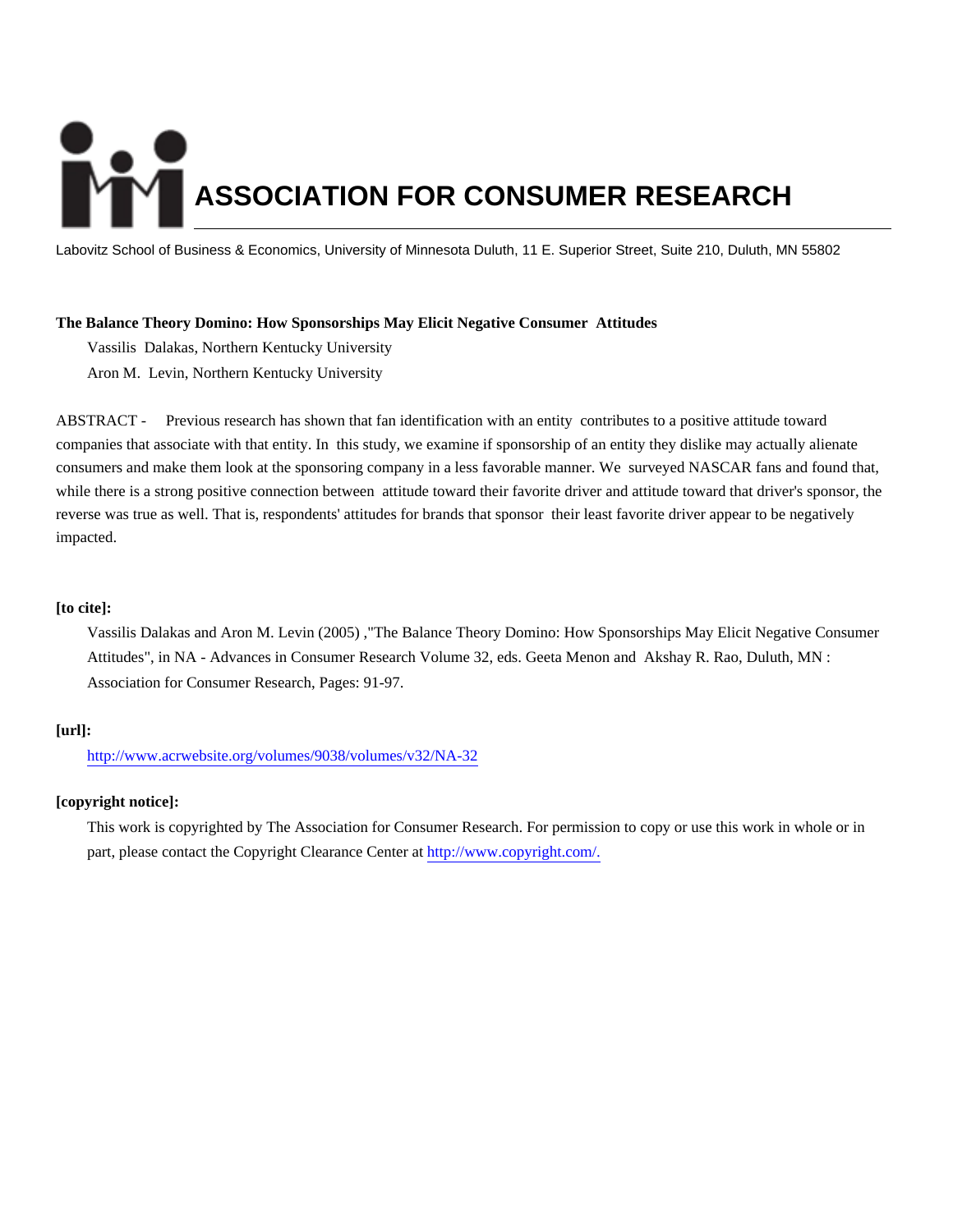# **ASSOCIATION FOR CONSUMER RESEARCH**

Labovitz School of Business & Economics, University of Minnesota Duluth, 11 E. Superior Street, Suite 210, Duluth, MN 55802

# **The Balance Theory Domino: How Sponsorships May Elicit Negative Consumer Attitudes**

Vassilis Dalakas, Northern Kentucky University

Aron M. Levin, Northern Kentucky University

ABSTRACT - Previous research has shown that fan identification with an entity contributes to a positive attitude toward companies that associate with that entity. In this study, we examine if sponsorship of an entity they dislike may actually alienate consumers and make them look at the sponsoring company in a less favorable manner. We surveyed NASCAR fans and found that, while there is a strong positive connection between attitude toward their favorite driver and attitude toward that driver's sponsor, the reverse was true as well. That is, respondents' attitudes for brands that sponsor their least favorite driver appear to be negatively impacted.

# **[to cite]:**

Vassilis Dalakas and Aron M. Levin (2005) ,"The Balance Theory Domino: How Sponsorships May Elicit Negative Consumer Attitudes", in NA - Advances in Consumer Research Volume 32, eds. Geeta Menon and Akshay R. Rao, Duluth, MN : Association for Consumer Research, Pages: 91-97.

# **[url]:**

<http://www.acrwebsite.org/volumes/9038/volumes/v32/NA-32>

# **[copyright notice]:**

This work is copyrighted by The Association for Consumer Research. For permission to copy or use this work in whole or in part, please contact the Copyright Clearance Center at [http://www.copyright.com/.](http://www.copyright.com/)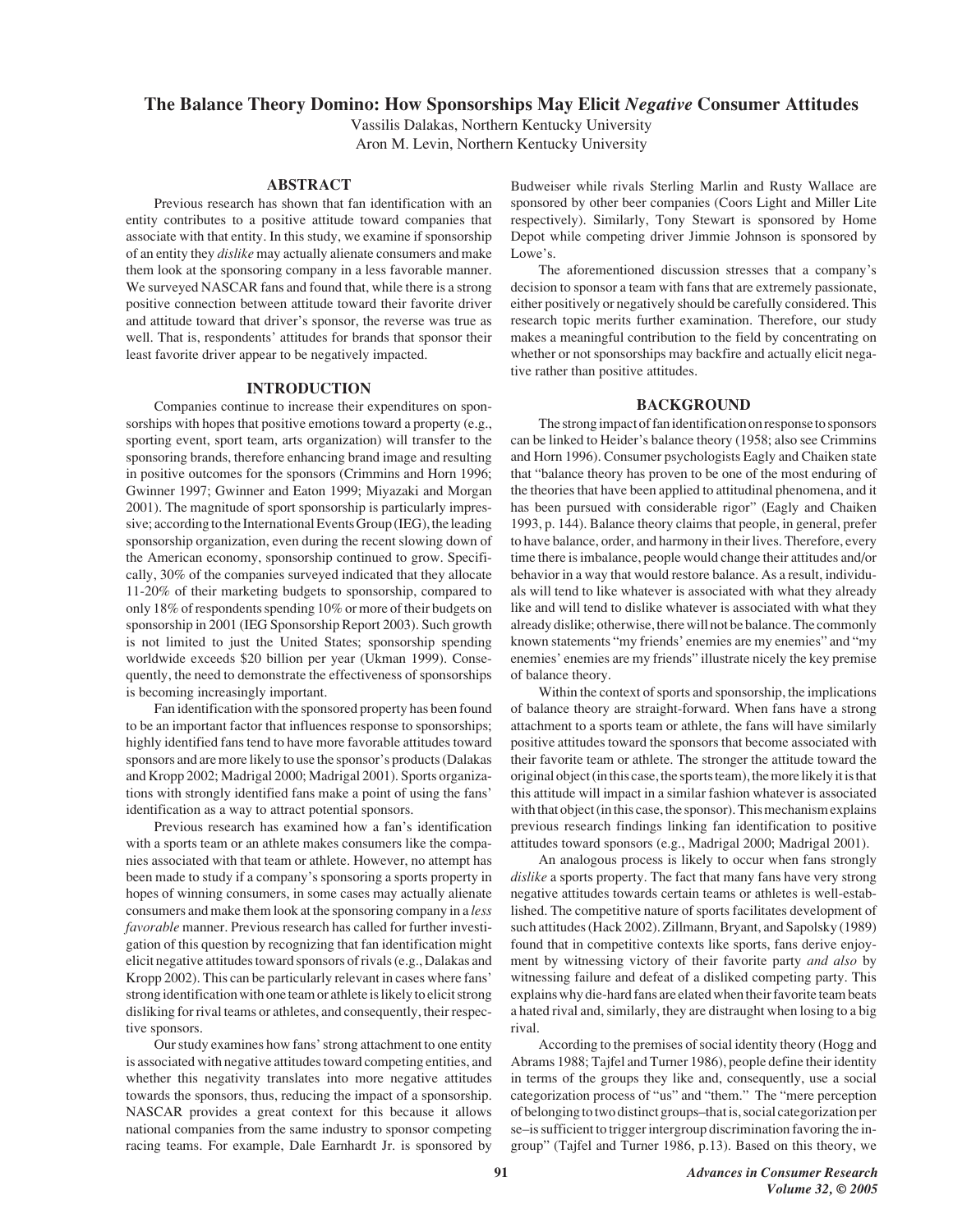# **The Balance Theory Domino: How Sponsorships May Elicit** *Negative* **Consumer Attitudes**

Vassilis Dalakas, Northern Kentucky University Aron M. Levin, Northern Kentucky University

# **ABSTRACT**

Previous research has shown that fan identification with an entity contributes to a positive attitude toward companies that associate with that entity. In this study, we examine if sponsorship of an entity they *dislike* may actually alienate consumers and make them look at the sponsoring company in a less favorable manner. We surveyed NASCAR fans and found that, while there is a strong positive connection between attitude toward their favorite driver and attitude toward that driver's sponsor, the reverse was true as well. That is, respondents' attitudes for brands that sponsor their least favorite driver appear to be negatively impacted.

### **INTRODUCTION**

Companies continue to increase their expenditures on sponsorships with hopes that positive emotions toward a property (e.g., sporting event, sport team, arts organization) will transfer to the sponsoring brands, therefore enhancing brand image and resulting in positive outcomes for the sponsors (Crimmins and Horn 1996; Gwinner 1997; Gwinner and Eaton 1999; Miyazaki and Morgan 2001). The magnitude of sport sponsorship is particularly impressive; according to the International Events Group (IEG), the leading sponsorship organization, even during the recent slowing down of the American economy, sponsorship continued to grow. Specifically, 30% of the companies surveyed indicated that they allocate 11-20% of their marketing budgets to sponsorship, compared to only 18% of respondents spending 10% or more of their budgets on sponsorship in 2001 (IEG Sponsorship Report 2003). Such growth is not limited to just the United States; sponsorship spending worldwide exceeds \$20 billion per year (Ukman 1999). Consequently, the need to demonstrate the effectiveness of sponsorships is becoming increasingly important.

Fan identification with the sponsored property has been found to be an important factor that influences response to sponsorships; highly identified fans tend to have more favorable attitudes toward sponsors and are more likely to use the sponsor's products (Dalakas and Kropp 2002; Madrigal 2000; Madrigal 2001). Sports organizations with strongly identified fans make a point of using the fans' identification as a way to attract potential sponsors.

Previous research has examined how a fan's identification with a sports team or an athlete makes consumers like the companies associated with that team or athlete. However, no attempt has been made to study if a company's sponsoring a sports property in hopes of winning consumers, in some cases may actually alienate consumers and make them look at the sponsoring company in a *less favorable* manner. Previous research has called for further investigation of this question by recognizing that fan identification might elicit negative attitudes toward sponsors of rivals (e.g., Dalakas and Kropp 2002). This can be particularly relevant in cases where fans' strong identification with one team or athlete is likely to elicit strong disliking for rival teams or athletes, and consequently, their respective sponsors.

Our study examines how fans' strong attachment to one entity is associated with negative attitudes toward competing entities, and whether this negativity translates into more negative attitudes towards the sponsors, thus, reducing the impact of a sponsorship. NASCAR provides a great context for this because it allows national companies from the same industry to sponsor competing racing teams. For example, Dale Earnhardt Jr. is sponsored by

Budweiser while rivals Sterling Marlin and Rusty Wallace are sponsored by other beer companies (Coors Light and Miller Lite respectively). Similarly, Tony Stewart is sponsored by Home Depot while competing driver Jimmie Johnson is sponsored by Lowe's.

The aforementioned discussion stresses that a company's decision to sponsor a team with fans that are extremely passionate, either positively or negatively should be carefully considered. This research topic merits further examination. Therefore, our study makes a meaningful contribution to the field by concentrating on whether or not sponsorships may backfire and actually elicit negative rather than positive attitudes.

### **BACKGROUND**

The strong impact of fan identification on response to sponsors can be linked to Heider's balance theory (1958; also see Crimmins and Horn 1996). Consumer psychologists Eagly and Chaiken state that "balance theory has proven to be one of the most enduring of the theories that have been applied to attitudinal phenomena, and it has been pursued with considerable rigor" (Eagly and Chaiken 1993, p. 144). Balance theory claims that people, in general, prefer to have balance, order, and harmony in their lives. Therefore, every time there is imbalance, people would change their attitudes and/or behavior in a way that would restore balance. As a result, individuals will tend to like whatever is associated with what they already like and will tend to dislike whatever is associated with what they already dislike; otherwise, there will not be balance. The commonly known statements "my friends' enemies are my enemies" and "my enemies' enemies are my friends" illustrate nicely the key premise of balance theory.

Within the context of sports and sponsorship, the implications of balance theory are straight-forward. When fans have a strong attachment to a sports team or athlete, the fans will have similarly positive attitudes toward the sponsors that become associated with their favorite team or athlete. The stronger the attitude toward the original object (in this case, the sports team), the more likely it is that this attitude will impact in a similar fashion whatever is associated with that object (in this case, the sponsor). This mechanism explains previous research findings linking fan identification to positive attitudes toward sponsors (e.g., Madrigal 2000; Madrigal 2001).

An analogous process is likely to occur when fans strongly *dislike* a sports property. The fact that many fans have very strong negative attitudes towards certain teams or athletes is well-established. The competitive nature of sports facilitates development of such attitudes (Hack 2002). Zillmann, Bryant, and Sapolsky (1989) found that in competitive contexts like sports, fans derive enjoyment by witnessing victory of their favorite party *and also* by witnessing failure and defeat of a disliked competing party. This explains why die-hard fans are elated when their favorite team beats a hated rival and, similarly, they are distraught when losing to a big rival.

According to the premises of social identity theory (Hogg and Abrams 1988; Tajfel and Turner 1986), people define their identity in terms of the groups they like and, consequently, use a social categorization process of "us" and "them." The "mere perception of belonging to two distinct groups–that is, social categorization per se–is sufficient to trigger intergroup discrimination favoring the ingroup" (Tajfel and Turner 1986, p.13). Based on this theory, we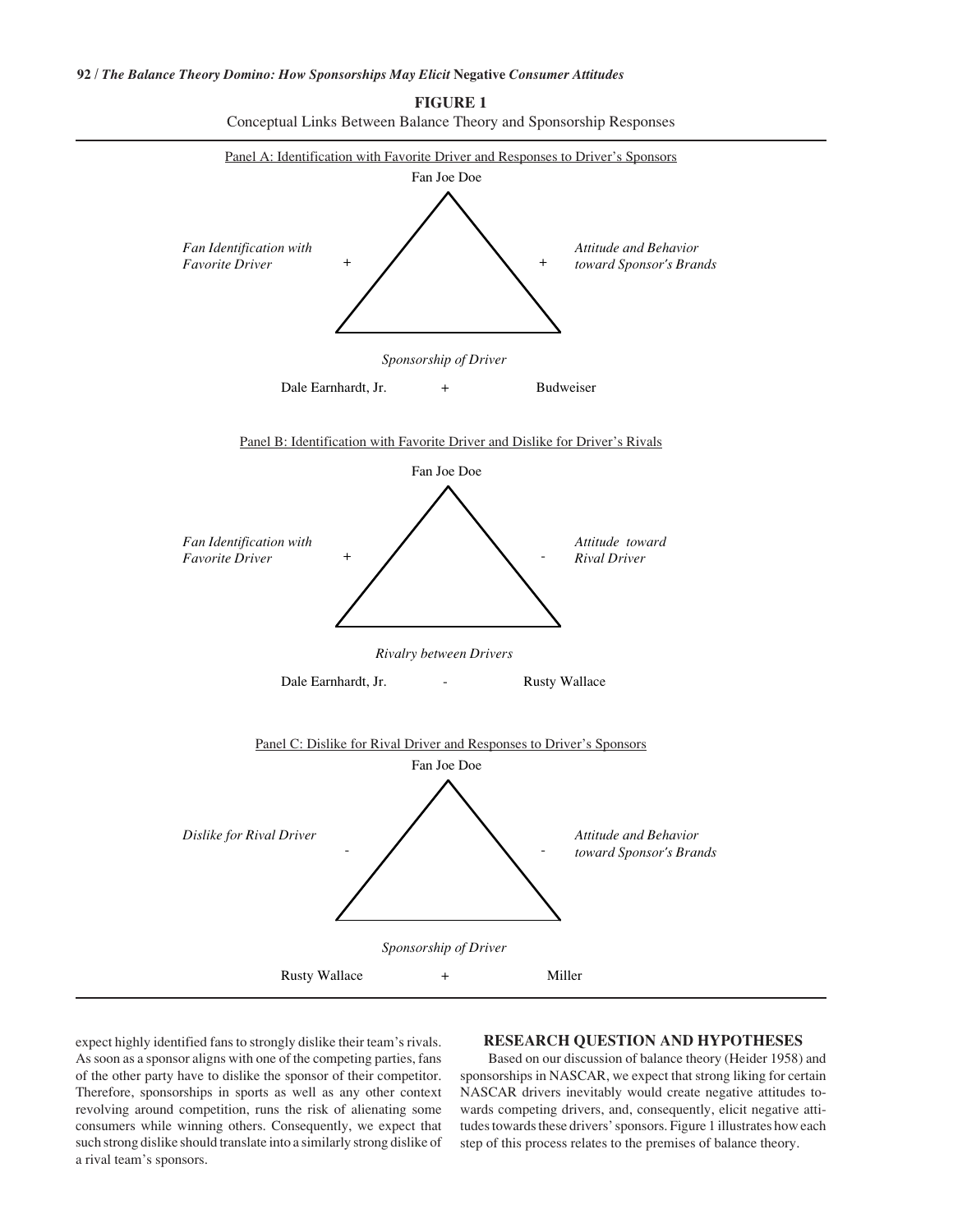# **92 /** *The Balance Theory Domino: How Sponsorships May Elicit* **Negative** *Consumer Attitudes*



**FIGURE 1** Conceptual Links Between Balance Theory and Sponsorship Responses

expect highly identified fans to strongly dislike their team's rivals. As soon as a sponsor aligns with one of the competing parties, fans of the other party have to dislike the sponsor of their competitor. Therefore, sponsorships in sports as well as any other context revolving around competition, runs the risk of alienating some consumers while winning others. Consequently, we expect that such strong dislike should translate into a similarly strong dislike of a rival team's sponsors.

# **RESEARCH QUESTION AND HYPOTHESES**

Based on our discussion of balance theory (Heider 1958) and sponsorships in NASCAR, we expect that strong liking for certain NASCAR drivers inevitably would create negative attitudes towards competing drivers, and, consequently, elicit negative attitudes towards these drivers' sponsors. Figure 1 illustrates how each step of this process relates to the premises of balance theory.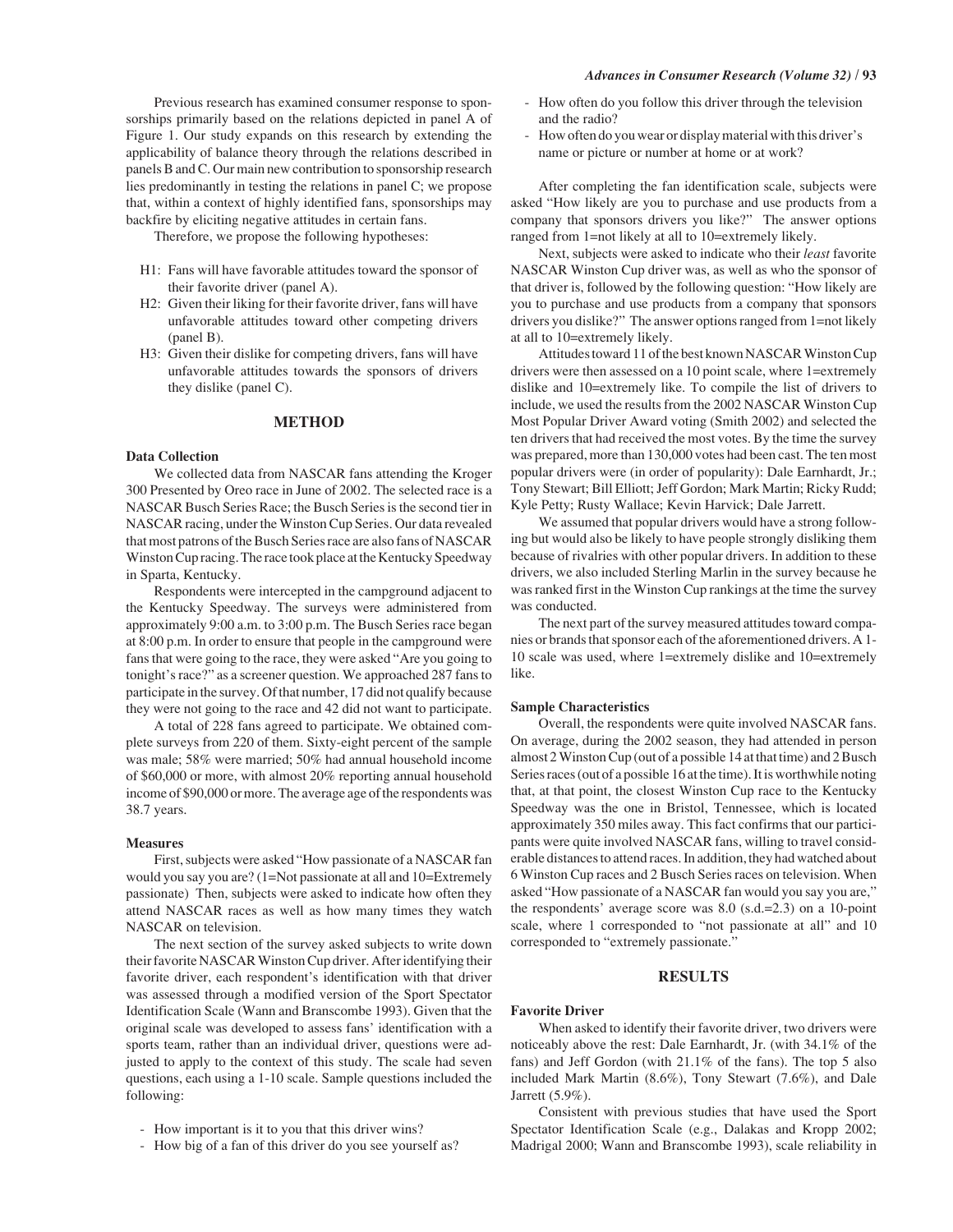Previous research has examined consumer response to sponsorships primarily based on the relations depicted in panel A of Figure 1. Our study expands on this research by extending the applicability of balance theory through the relations described in panels B and C. Our main new contribution to sponsorship research lies predominantly in testing the relations in panel C; we propose that, within a context of highly identified fans, sponsorships may backfire by eliciting negative attitudes in certain fans.

Therefore, we propose the following hypotheses:

- H1: Fans will have favorable attitudes toward the sponsor of their favorite driver (panel A).
- H2: Given their liking for their favorite driver, fans will have unfavorable attitudes toward other competing drivers (panel B).
- H3: Given their dislike for competing drivers, fans will have unfavorable attitudes towards the sponsors of drivers they dislike (panel C).

### **METHOD**

### **Data Collection**

We collected data from NASCAR fans attending the Kroger 300 Presented by Oreo race in June of 2002. The selected race is a NASCAR Busch Series Race; the Busch Series is the second tier in NASCAR racing, under the Winston Cup Series. Our data revealed that most patrons of the Busch Series race are also fans of NASCAR Winston Cup racing. The race took place at the Kentucky Speedway in Sparta, Kentucky.

Respondents were intercepted in the campground adjacent to the Kentucky Speedway. The surveys were administered from approximately 9:00 a.m. to 3:00 p.m. The Busch Series race began at 8:00 p.m. In order to ensure that people in the campground were fans that were going to the race, they were asked "Are you going to tonight's race?" as a screener question. We approached 287 fans to participate in the survey. Of that number, 17 did not qualify because they were not going to the race and 42 did not want to participate.

A total of 228 fans agreed to participate. We obtained complete surveys from 220 of them. Sixty-eight percent of the sample was male; 58% were married; 50% had annual household income of \$60,000 or more, with almost 20% reporting annual household income of \$90,000 or more. The average age of the respondents was 38.7 years.

### **Measures**

First, subjects were asked "How passionate of a NASCAR fan would you say you are? (1=Not passionate at all and 10=Extremely passionate) Then, subjects were asked to indicate how often they attend NASCAR races as well as how many times they watch NASCAR on television.

The next section of the survey asked subjects to write down their favorite NASCAR Winston Cup driver. After identifying their favorite driver, each respondent's identification with that driver was assessed through a modified version of the Sport Spectator Identification Scale (Wann and Branscombe 1993). Given that the original scale was developed to assess fans' identification with a sports team, rather than an individual driver, questions were adjusted to apply to the context of this study. The scale had seven questions, each using a 1-10 scale. Sample questions included the following:

- How important is it to you that this driver wins?
- How big of a fan of this driver do you see yourself as?
- How often do you follow this driver through the television and the radio?
- How often do you wear or display material with this driver's name or picture or number at home or at work?

After completing the fan identification scale, subjects were asked "How likely are you to purchase and use products from a company that sponsors drivers you like?" The answer options ranged from 1=not likely at all to 10=extremely likely.

Next, subjects were asked to indicate who their *least* favorite NASCAR Winston Cup driver was, as well as who the sponsor of that driver is, followed by the following question: "How likely are you to purchase and use products from a company that sponsors drivers you dislike?" The answer options ranged from 1=not likely at all to 10=extremely likely.

Attitudes toward 11 of the best known NASCAR Winston Cup drivers were then assessed on a 10 point scale, where 1=extremely dislike and 10=extremely like. To compile the list of drivers to include, we used the results from the 2002 NASCAR Winston Cup Most Popular Driver Award voting (Smith 2002) and selected the ten drivers that had received the most votes. By the time the survey was prepared, more than 130,000 votes had been cast. The ten most popular drivers were (in order of popularity): Dale Earnhardt, Jr.; Tony Stewart; Bill Elliott; Jeff Gordon; Mark Martin; Ricky Rudd; Kyle Petty; Rusty Wallace; Kevin Harvick; Dale Jarrett.

We assumed that popular drivers would have a strong following but would also be likely to have people strongly disliking them because of rivalries with other popular drivers. In addition to these drivers, we also included Sterling Marlin in the survey because he was ranked first in the Winston Cup rankings at the time the survey was conducted.

The next part of the survey measured attitudes toward companies or brands that sponsor each of the aforementioned drivers. A 1- 10 scale was used, where 1=extremely dislike and 10=extremely like.

# **Sample Characteristics**

Overall, the respondents were quite involved NASCAR fans. On average, during the 2002 season, they had attended in person almost 2 Winston Cup (out of a possible 14 at that time) and 2 Busch Series races (out of a possible 16 at the time). It is worthwhile noting that, at that point, the closest Winston Cup race to the Kentucky Speedway was the one in Bristol, Tennessee, which is located approximately 350 miles away. This fact confirms that our participants were quite involved NASCAR fans, willing to travel considerable distances to attend races. In addition, they had watched about 6 Winston Cup races and 2 Busch Series races on television. When asked "How passionate of a NASCAR fan would you say you are," the respondents' average score was 8.0 (s.d.=2.3) on a 10-point scale, where 1 corresponded to "not passionate at all" and 10 corresponded to "extremely passionate."

# **RESULTS**

# **Favorite Driver**

When asked to identify their favorite driver, two drivers were noticeably above the rest: Dale Earnhardt, Jr. (with 34.1% of the fans) and Jeff Gordon (with 21.1% of the fans). The top 5 also included Mark Martin (8.6%), Tony Stewart (7.6%), and Dale Jarrett (5.9%).

Consistent with previous studies that have used the Sport Spectator Identification Scale (e.g., Dalakas and Kropp 2002; Madrigal 2000; Wann and Branscombe 1993), scale reliability in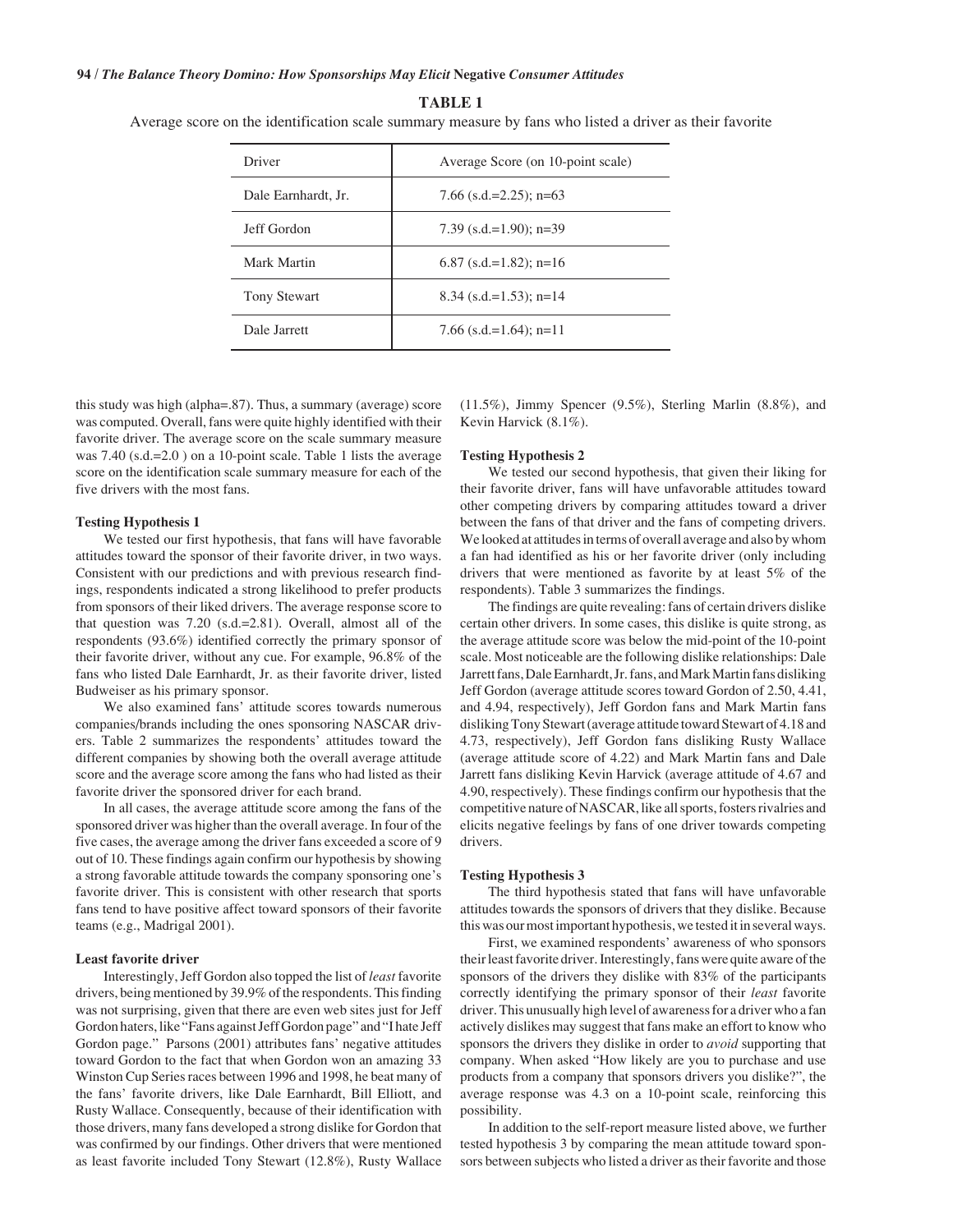**TABLE 1**

Average score on the identification scale summary measure by fans who listed a driver as their favorite

| Driver              | Average Score (on 10-point scale) |
|---------------------|-----------------------------------|
| Dale Earnhardt, Jr. | 7.66 $(s.d.=2.25)$ ; n=63         |
| Jeff Gordon         | 7.39 $(s.d.=1.90)$ ; n=39         |
| Mark Martin         | $6.87$ (s.d.=1.82); n=16          |
| <b>Tony Stewart</b> | 8.34 $(s.d.=1.53)$ ; n=14         |
| Dale Jarrett        | 7.66 $(s.d.=1.64)$ ; n=11         |

this study was high (alpha=.87). Thus, a summary (average) score was computed. Overall, fans were quite highly identified with their favorite driver. The average score on the scale summary measure was 7.40 (s.d.=2.0) on a 10-point scale. Table 1 lists the average score on the identification scale summary measure for each of the five drivers with the most fans.

### **Testing Hypothesis 1**

We tested our first hypothesis, that fans will have favorable attitudes toward the sponsor of their favorite driver, in two ways. Consistent with our predictions and with previous research findings, respondents indicated a strong likelihood to prefer products from sponsors of their liked drivers. The average response score to that question was 7.20 (s.d.=2.81). Overall, almost all of the respondents (93.6%) identified correctly the primary sponsor of their favorite driver, without any cue. For example, 96.8% of the fans who listed Dale Earnhardt, Jr. as their favorite driver, listed Budweiser as his primary sponsor.

We also examined fans' attitude scores towards numerous companies/brands including the ones sponsoring NASCAR drivers. Table 2 summarizes the respondents' attitudes toward the different companies by showing both the overall average attitude score and the average score among the fans who had listed as their favorite driver the sponsored driver for each brand.

In all cases, the average attitude score among the fans of the sponsored driver was higher than the overall average. In four of the five cases, the average among the driver fans exceeded a score of 9 out of 10. These findings again confirm our hypothesis by showing a strong favorable attitude towards the company sponsoring one's favorite driver. This is consistent with other research that sports fans tend to have positive affect toward sponsors of their favorite teams (e.g., Madrigal 2001).

### **Least favorite driver**

Interestingly, Jeff Gordon also topped the list of *least* favorite drivers, being mentioned by 39.9% of the respondents. This finding was not surprising, given that there are even web sites just for Jeff Gordon haters, like "Fans against Jeff Gordon page" and "I hate Jeff Gordon page." Parsons (2001) attributes fans' negative attitudes toward Gordon to the fact that when Gordon won an amazing 33 Winston Cup Series races between 1996 and 1998, he beat many of the fans' favorite drivers, like Dale Earnhardt, Bill Elliott, and Rusty Wallace. Consequently, because of their identification with those drivers, many fans developed a strong dislike for Gordon that was confirmed by our findings. Other drivers that were mentioned as least favorite included Tony Stewart (12.8%), Rusty Wallace

 $(11.5\%)$ , Jimmy Spencer  $(9.5\%)$ , Sterling Marlin  $(8.8\%)$ , and Kevin Harvick (8.1%).

### **Testing Hypothesis 2**

We tested our second hypothesis, that given their liking for their favorite driver, fans will have unfavorable attitudes toward other competing drivers by comparing attitudes toward a driver between the fans of that driver and the fans of competing drivers. We looked at attitudes in terms of overall average and also by whom a fan had identified as his or her favorite driver (only including drivers that were mentioned as favorite by at least 5% of the respondents). Table 3 summarizes the findings.

The findings are quite revealing: fans of certain drivers dislike certain other drivers. In some cases, this dislike is quite strong, as the average attitude score was below the mid-point of the 10-point scale. Most noticeable are the following dislike relationships: Dale Jarrett fans, Dale Earnhardt, Jr. fans, and Mark Martin fans disliking Jeff Gordon (average attitude scores toward Gordon of 2.50, 4.41, and 4.94, respectively), Jeff Gordon fans and Mark Martin fans disliking Tony Stewart (average attitude toward Stewart of 4.18 and 4.73, respectively), Jeff Gordon fans disliking Rusty Wallace (average attitude score of 4.22) and Mark Martin fans and Dale Jarrett fans disliking Kevin Harvick (average attitude of 4.67 and 4.90, respectively). These findings confirm our hypothesis that the competitive nature of NASCAR, like all sports, fosters rivalries and elicits negative feelings by fans of one driver towards competing drivers.

### **Testing Hypothesis 3**

The third hypothesis stated that fans will have unfavorable attitudes towards the sponsors of drivers that they dislike. Because this was our most important hypothesis, we tested it in several ways.

First, we examined respondents' awareness of who sponsors their least favorite driver. Interestingly, fans were quite aware of the sponsors of the drivers they dislike with 83% of the participants correctly identifying the primary sponsor of their *least* favorite driver. This unusually high level of awareness for a driver who a fan actively dislikes may suggest that fans make an effort to know who sponsors the drivers they dislike in order to *avoid* supporting that company. When asked "How likely are you to purchase and use products from a company that sponsors drivers you dislike?", the average response was 4.3 on a 10-point scale, reinforcing this possibility.

In addition to the self-report measure listed above, we further tested hypothesis 3 by comparing the mean attitude toward sponsors between subjects who listed a driver as their favorite and those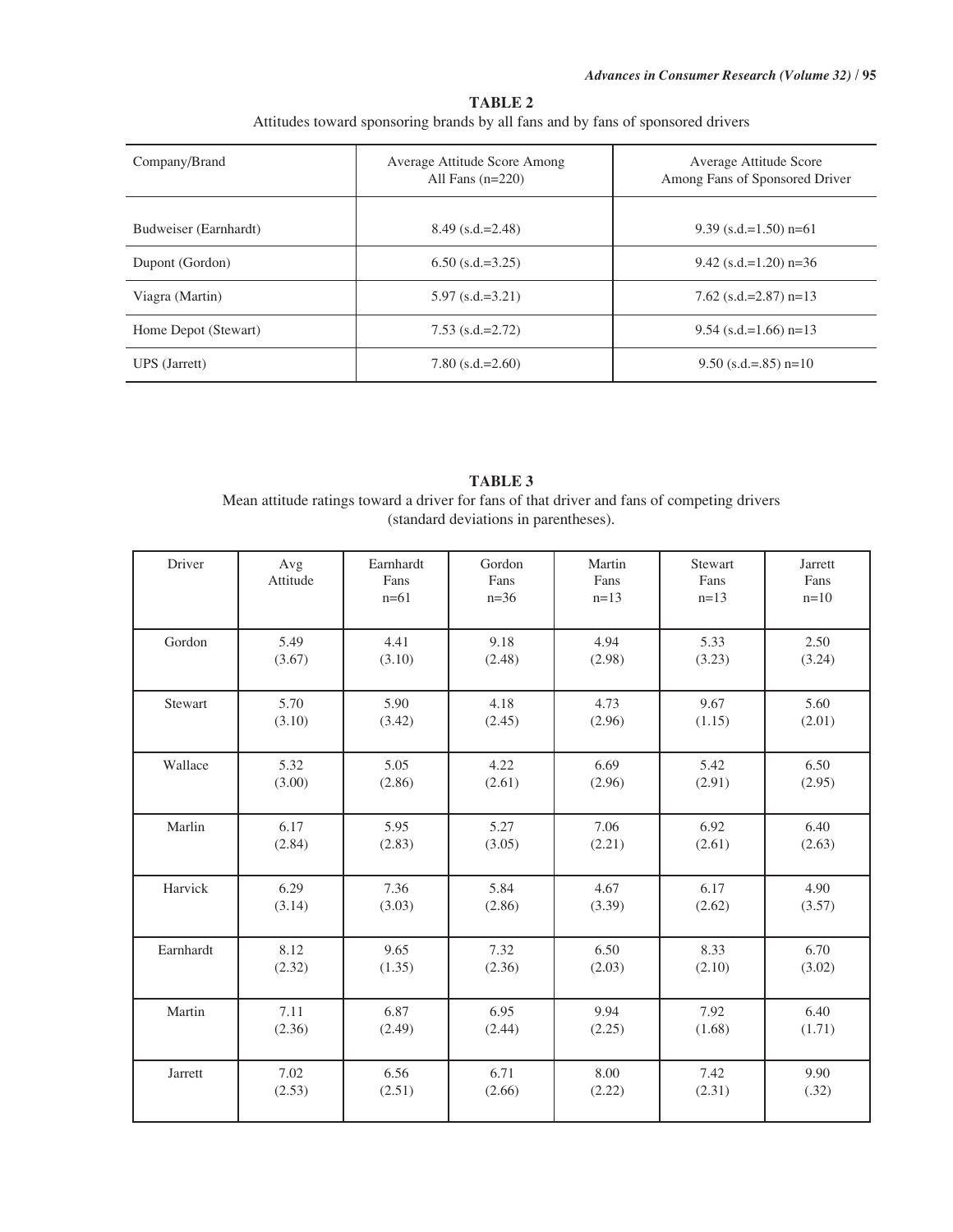| Company/Brand         | Average Attitude Score Among<br>All Fans $(n=220)$ | Average Attitude Score<br>Among Fans of Sponsored Driver |  |  |
|-----------------------|----------------------------------------------------|----------------------------------------------------------|--|--|
| Budweiser (Earnhardt) | $8.49$ (s.d.=2.48)                                 | $9.39$ (s.d.=1.50) n=61                                  |  |  |
| Dupont (Gordon)       | $6.50$ (s.d.=3.25)                                 | $9.42$ (s.d.=1.20) n=36                                  |  |  |
| Viagra (Martin)       | $5.97$ (s.d.=3.21)                                 | 7.62 $(s.d.=2.87)$ n=13                                  |  |  |
| Home Depot (Stewart)  | $7.53$ (s.d.=2.72)                                 | $9.54$ (s.d.=1.66) n=13                                  |  |  |
| UPS (Jarrett)         | $7.80$ (s.d.=2.60)                                 | $9.50$ (s.d.=.85) n=10                                   |  |  |

# **TABLE 2** Attitudes toward sponsoring brands by all fans and by fans of sponsored drivers

| <b>TABLE 3</b>                                                                              |  |  |  |  |  |
|---------------------------------------------------------------------------------------------|--|--|--|--|--|
| Mean attitude ratings toward a driver for fans of that driver and fans of competing drivers |  |  |  |  |  |
| (standard deviations in parentheses).                                                       |  |  |  |  |  |

| Driver    | Avg<br>Attitude | Earnhardt<br>Fans<br>$n=61$ | Gordon<br>Fans<br>$n=36$ | Martin<br>Fans<br>$n=13$ | Stewart<br>Fans<br>$n=13$ | Jarrett<br>Fans<br>$n=10$ |
|-----------|-----------------|-----------------------------|--------------------------|--------------------------|---------------------------|---------------------------|
| Gordon    | 5.49            | 4.41                        | 9.18                     | 4.94                     | 5.33                      | 2.50                      |
|           | (3.67)          | (3.10)                      | (2.48)                   | (2.98)                   | (3.23)                    | (3.24)                    |
| Stewart   | 5.70            | 5.90                        | 4.18                     | 4.73                     | 9.67                      | 5.60                      |
|           | (3.10)          | (3.42)                      | (2.45)                   | (2.96)                   | (1.15)                    | (2.01)                    |
| Wallace   | 5.32            | 5.05                        | 4.22                     | 6.69                     | 5.42                      | 6.50                      |
|           | (3.00)          | (2.86)                      | (2.61)                   | (2.96)                   | (2.91)                    | (2.95)                    |
| Marlin    | 6.17            | 5.95                        | 5.27                     | 7.06                     | 6.92                      | 6.40                      |
|           | (2.84)          | (2.83)                      | (3.05)                   | (2.21)                   | (2.61)                    | (2.63)                    |
| Harvick   | 6.29            | 7.36                        | 5.84                     | 4.67                     | 6.17                      | 4.90                      |
|           | (3.14)          | (3.03)                      | (2.86)                   | (3.39)                   | (2.62)                    | (3.57)                    |
| Earnhardt | 8.12            | 9.65                        | 7.32                     | 6.50                     | 8.33                      | 6.70                      |
|           | (2.32)          | (1.35)                      | (2.36)                   | (2.03)                   | (2.10)                    | (3.02)                    |
| Martin    | 7.11            | 6.87                        | 6.95                     | 9.94                     | 7.92                      | 6.40                      |
|           | (2.36)          | (2.49)                      | (2.44)                   | (2.25)                   | (1.68)                    | (1.71)                    |
| Jarrett   | 7.02            | 6.56                        | 6.71                     | 8.00                     | 7.42                      | 9.90                      |
|           | (2.53)          | (2.51)                      | (2.66)                   | (2.22)                   | (2.31)                    | (.32)                     |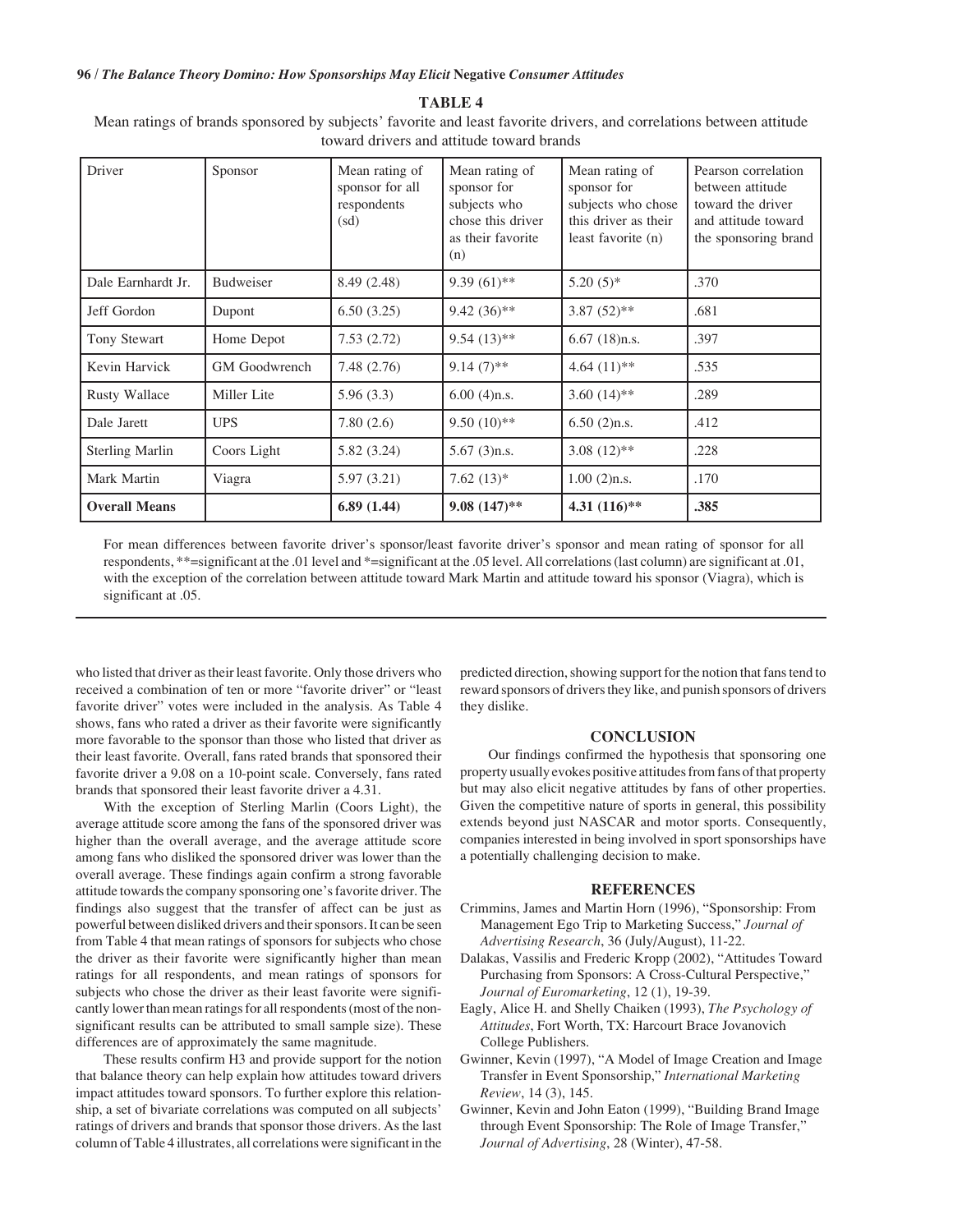**TABLE 4**

Mean ratings of brands sponsored by subjects' favorite and least favorite drivers, and correlations between attitude toward drivers and attitude toward brands

| Driver                 | Sponsor              | Mean rating of<br>sponsor for all<br>respondents<br>(sd) | Mean rating of<br>sponsor for<br>subjects who<br>chose this driver<br>as their favorite<br>(n) | Mean rating of<br>sponsor for<br>subjects who chose<br>this driver as their<br>least favorite (n) | Pearson correlation<br>between attitude<br>toward the driver<br>and attitude toward<br>the sponsoring brand |
|------------------------|----------------------|----------------------------------------------------------|------------------------------------------------------------------------------------------------|---------------------------------------------------------------------------------------------------|-------------------------------------------------------------------------------------------------------------|
| Dale Earnhardt Jr.     | <b>Budweiser</b>     | 8.49 (2.48)                                              | $9.39(61)$ **                                                                                  | $5.20(5)*$                                                                                        | .370                                                                                                        |
| Jeff Gordon            | Dupont               | 6.50(3.25)                                               | $9.42(36)$ **                                                                                  | $3.87(52)$ **                                                                                     | .681                                                                                                        |
| Tony Stewart           | Home Depot           | 7.53(2.72)                                               | $9.54(13)*$                                                                                    | $6.67$ (18)n.s.                                                                                   | .397                                                                                                        |
| Kevin Harvick          | <b>GM</b> Goodwrench | 7.48(2.76)                                               | $9.14(7)$ **                                                                                   | $4.64(11)*$                                                                                       | .535                                                                                                        |
| <b>Rusty Wallace</b>   | Miller Lite          | 5.96(3.3)                                                | $6.00(4)$ n.s.                                                                                 | 3.60 $(14)$ **                                                                                    | .289                                                                                                        |
| Dale Jarett            | <b>UPS</b>           | 7.80(2.6)                                                | $9.50(10)*$                                                                                    | $6.50(2)$ n.s.                                                                                    | .412                                                                                                        |
| <b>Sterling Marlin</b> | Coors Light          | 5.82 (3.24)                                              | $5.67(3)$ n.s.                                                                                 | $3.08(12)$ **                                                                                     | .228                                                                                                        |
| Mark Martin            | Viagra               | 5.97(3.21)                                               | 7.62 $(13)*$                                                                                   | $1.00(2)$ n.s.                                                                                    | .170                                                                                                        |
| <b>Overall Means</b>   |                      | 6.89(1.44)                                               | $9.08(147)$ **                                                                                 | 4.31 $(116)$ **                                                                                   | .385                                                                                                        |

For mean differences between favorite driver's sponsor/least favorite driver's sponsor and mean rating of sponsor for all respondents, \*\*=significant at the .01 level and \*=significant at the .05 level. All correlations (last column) are significant at .01, with the exception of the correlation between attitude toward Mark Martin and attitude toward his sponsor (Viagra), which is significant at .05.

who listed that driver as their least favorite. Only those drivers who received a combination of ten or more "favorite driver" or "least favorite driver" votes were included in the analysis. As Table 4 shows, fans who rated a driver as their favorite were significantly more favorable to the sponsor than those who listed that driver as their least favorite. Overall, fans rated brands that sponsored their favorite driver a 9.08 on a 10-point scale. Conversely, fans rated brands that sponsored their least favorite driver a 4.31.

With the exception of Sterling Marlin (Coors Light), the average attitude score among the fans of the sponsored driver was higher than the overall average, and the average attitude score among fans who disliked the sponsored driver was lower than the overall average. These findings again confirm a strong favorable attitude towards the company sponsoring one's favorite driver. The findings also suggest that the transfer of affect can be just as powerful between disliked drivers and their sponsors. It can be seen from Table 4 that mean ratings of sponsors for subjects who chose the driver as their favorite were significantly higher than mean ratings for all respondents, and mean ratings of sponsors for subjects who chose the driver as their least favorite were significantly lower than mean ratings for all respondents (most of the nonsignificant results can be attributed to small sample size). These differences are of approximately the same magnitude.

These results confirm H3 and provide support for the notion that balance theory can help explain how attitudes toward drivers impact attitudes toward sponsors. To further explore this relationship, a set of bivariate correlations was computed on all subjects' ratings of drivers and brands that sponsor those drivers. As the last column of Table 4 illustrates, all correlations were significant in the predicted direction, showing support for the notion that fans tend to reward sponsors of drivers they like, and punish sponsors of drivers they dislike.

## **CONCLUSION**

Our findings confirmed the hypothesis that sponsoring one property usually evokes positive attitudes from fans of that property but may also elicit negative attitudes by fans of other properties. Given the competitive nature of sports in general, this possibility extends beyond just NASCAR and motor sports. Consequently, companies interested in being involved in sport sponsorships have a potentially challenging decision to make.

### **REFERENCES**

- Crimmins, James and Martin Horn (1996), "Sponsorship: From Management Ego Trip to Marketing Success," *Journal of Advertising Research*, 36 (July/August), 11-22.
- Dalakas, Vassilis and Frederic Kropp (2002), "Attitudes Toward Purchasing from Sponsors: A Cross-Cultural Perspective," *Journal of Euromarketing*, 12 (1), 19-39.
- Eagly, Alice H. and Shelly Chaiken (1993), *The Psychology of Attitudes*, Fort Worth, TX: Harcourt Brace Jovanovich College Publishers.
- Gwinner, Kevin (1997), "A Model of Image Creation and Image Transfer in Event Sponsorship," *International Marketing Review*, 14 (3), 145.
- Gwinner, Kevin and John Eaton (1999), "Building Brand Image through Event Sponsorship: The Role of Image Transfer," *Journal of Advertising*, 28 (Winter), 47-58.